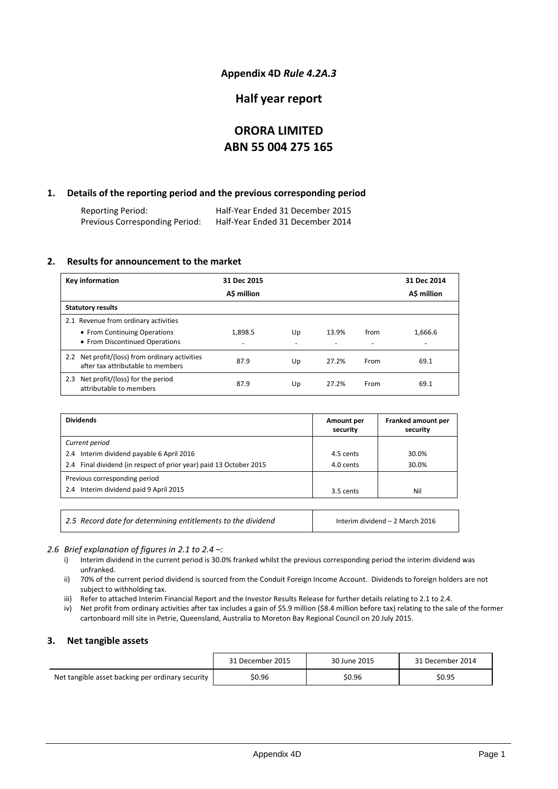### **Appendix 4D** *Rule 4.2A.3*

### **Half year report**

### **ORORA LIMITED ABN 55 004 275 165**

#### **1. Details of the reporting period and the previous corresponding period**

Reporting Period: Half-Year Ended 31 December 2015 Previous Corresponding Period:

#### **2. Results for announcement to the market**

| <b>Key information</b>                                                                                 | 31 Dec 2015  |    |       |                                  | 31 Dec 2014                         |
|--------------------------------------------------------------------------------------------------------|--------------|----|-------|----------------------------------|-------------------------------------|
|                                                                                                        | A\$ million  |    |       |                                  | A\$ million                         |
| <b>Statutory results</b>                                                                               |              |    |       |                                  |                                     |
| 2.1 Revenue from ordinary activities<br>• From Continuing Operations<br>• From Discontinued Operations | 1,898.5<br>٠ | Up | 13.9% | from<br>$\overline{\phantom{0}}$ | 1.666.6<br>$\overline{\phantom{a}}$ |
| 2.2 Net profit/(loss) from ordinary activities<br>after tax attributable to members                    | 87.9         | Up | 27.2% | From                             | 69.1                                |
| 2.3 Net profit/(loss) for the period<br>attributable to members                                        | 87.9         | Up | 27.2% | From                             | 69.1                                |

| <b>Dividends</b>                                                   | Amount per<br>security | Franked amount per<br>security |
|--------------------------------------------------------------------|------------------------|--------------------------------|
| Current period                                                     |                        |                                |
| 2.4 Interim dividend payable 6 April 2016                          | 4.5 cents              | 30.0%                          |
| 2.4 Final dividend (in respect of prior year) paid 13 October 2015 | 4.0 cents              | 30.0%                          |
| Previous corresponding period                                      |                        |                                |
| 2.4 Interim dividend paid 9 April 2015                             | 3.5 cents              | Nil                            |
|                                                                    |                        |                                |

*2.5 Record date for determining entitlements to the dividend* Interim dividend – 2 March 2016

#### *2.6 Brief explanation of figures in 2.1 to 2.4 –:*

- i) Interim dividend in the current period is 30.0% franked whilst the previous corresponding period the interim dividend was unfranked.
- ii) 70% of the current period dividend is sourced from the Conduit Foreign Income Account. Dividends to foreign holders are not subject to withholding tax.
- iii) Refer to attached Interim Financial Report and the Investor Results Release for further details relating to 2.1 to 2.4.
- iv) Net profit from ordinary activities after tax includes a gain of \$5.9 million (\$8.4 million before tax) relating to the sale of the former cartonboard mill site in Petrie, Queensland, Australia to Moreton Bay Regional Council on 20 July 2015.

#### **3. Net tangible assets**

|                                                  | 31 December 2015 | 30 June 2015 | 31 December 2014 |
|--------------------------------------------------|------------------|--------------|------------------|
| Net tangible asset backing per ordinary security | \$0.96           | \$0.96       | \$0.95           |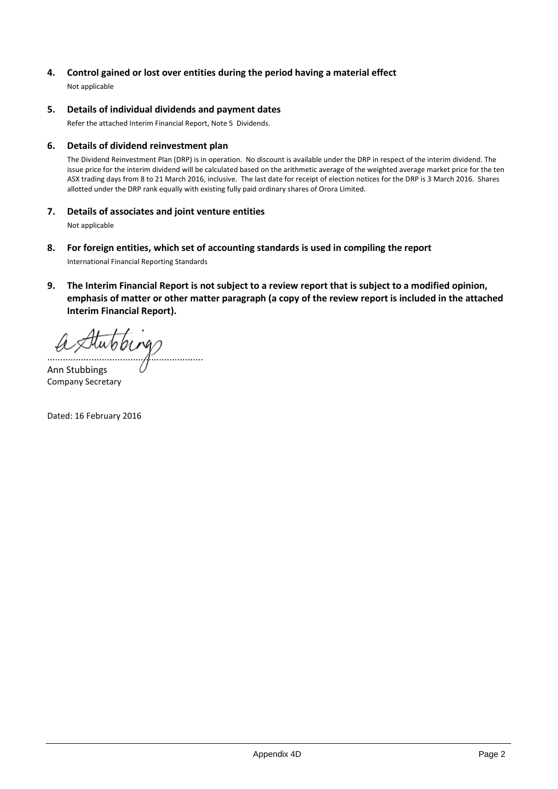### **4. Control gained or lost over entities during the period having a material effect**

Not applicable

#### **5. Details of individual dividends and payment dates**

Refer the attached Interim Financial Report, Note 5 Dividends.

#### **6. Details of dividend reinvestment plan**

The Dividend Reinvestment Plan (DRP) is in operation. No discount is available under the DRP in respect of the interim dividend. The issue price for the interim dividend will be calculated based on the arithmetic average of the weighted average market price for the ten ASX trading days from 8 to 21 March 2016, inclusive. The last date for receipt of election notices for the DRP is 3 March 2016. Shares allotted under the DRP rank equally with existing fully paid ordinary shares of Orora Limited.

#### **7. Details of associates and joint venture entities**

Not applicable

- **8. For foreign entities, which set of accounting standards is used in compiling the report** International Financial Reporting Standards
- **9. The Interim Financial Report is not subject to a review report that is subject to a modified opinion, emphasis of matter or other matter paragraph (a copy of the review report is included in the attached Interim Financial Report).**

............................................................

Ann Stubbings Company Secretary

Dated: 16 February 2016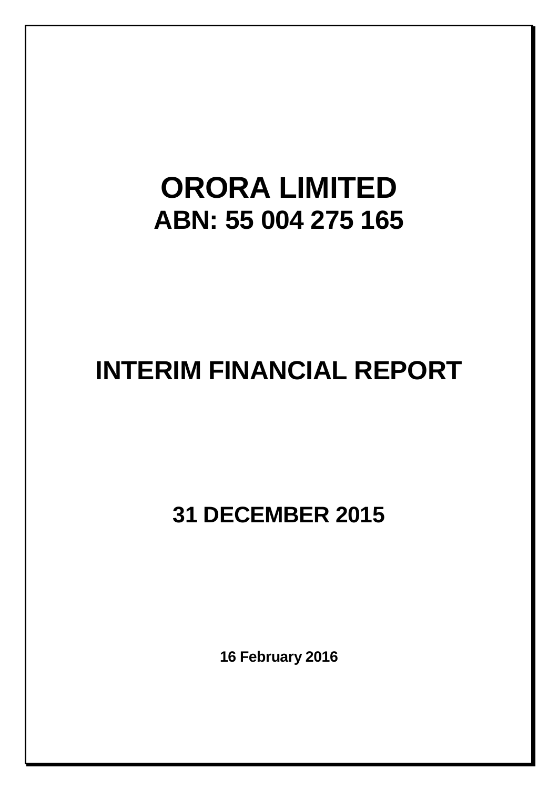# **ORORA LIMITED ABN: 55 004 275 165**

# **INTERIM FINANCIAL REPORT**

**31 DECEMBER 2015**

**16 February 2016**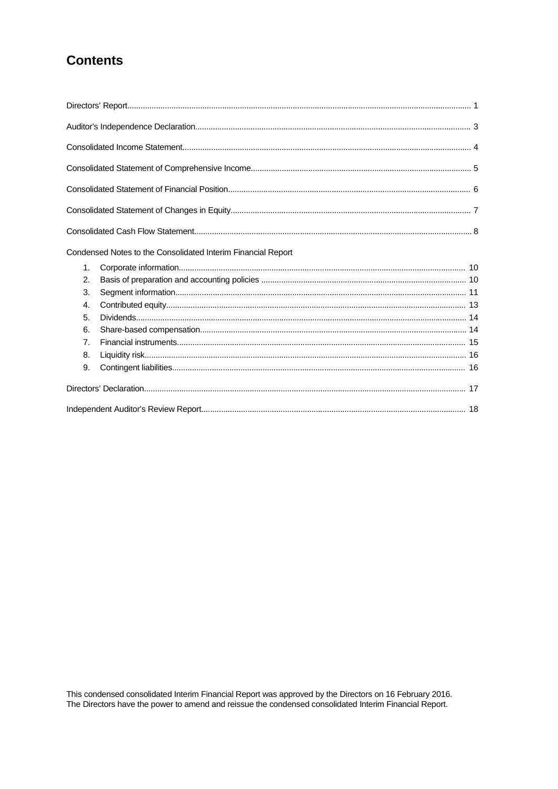# **Contents**

|    | Condensed Notes to the Consolidated Interim Financial Report |  |
|----|--------------------------------------------------------------|--|
| 1. |                                                              |  |
| 2. |                                                              |  |
| 3. |                                                              |  |
| 4. |                                                              |  |
| 5. |                                                              |  |
| 6. |                                                              |  |
| 7. |                                                              |  |
| 8. |                                                              |  |
| 9. |                                                              |  |
|    |                                                              |  |
|    |                                                              |  |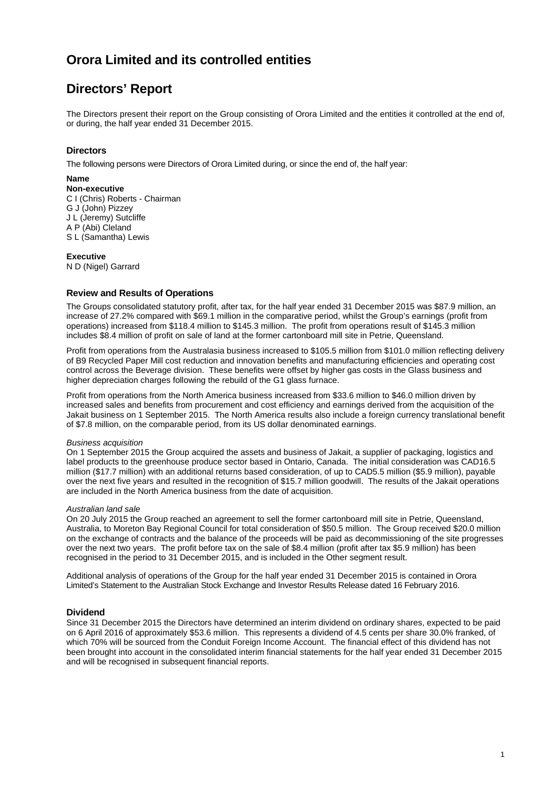# **Directors' Report**

The Directors present their report on the Group consisting of Orora Limited and the entities it controlled at the end of, or during, the half year ended 31 December 2015.

#### **Directors**

The following persons were Directors of Orora Limited during, or since the end of, the half year:

#### **Name**

**Non-executive** C I (Chris) Roberts - Chairman G J (John) Pizzey J L (Jeremy) Sutcliffe A P (Abi) Cleland S L (Samantha) Lewis

#### **Executive**

N D (Nigel) Garrard

#### **Review and Results of Operations**

The Groups consolidated statutory profit, after tax, for the half year ended 31 December 2015 was \$87.9 million, an increase of 27.2% compared with \$69.1 million in the comparative period, whilst the Group's earnings (profit from operations) increased from \$118.4 million to \$145.3 million. The profit from operations result of \$145.3 million includes \$8.4 million of profit on sale of land at the former cartonboard mill site in Petrie, Queensland.

Profit from operations from the Australasia business increased to \$105.5 million from \$101.0 million reflecting delivery of B9 Recycled Paper Mill cost reduction and innovation benefits and manufacturing efficiencies and operating cost control across the Beverage division. These benefits were offset by higher gas costs in the Glass business and higher depreciation charges following the rebuild of the G1 glass furnace.

Profit from operations from the North America business increased from \$33.6 million to \$46.0 million driven by increased sales and benefits from procurement and cost efficiency and earnings derived from the acquisition of the Jakait business on 1 September 2015. The North America results also include a foreign currency translational benefit of \$7.8 million, on the comparable period, from its US dollar denominated earnings.

#### *Business acquisition*

On 1 September 2015 the Group acquired the assets and business of Jakait, a supplier of packaging, logistics and label products to the greenhouse produce sector based in Ontario, Canada. The initial consideration was CAD16.5 million (\$17.7 million) with an additional returns based consideration, of up to CAD5.5 million (\$5.9 million), payable over the next five years and resulted in the recognition of \$15.7 million goodwill. The results of the Jakait operations are included in the North America business from the date of acquisition.

#### *Australian land sale*

On 20 July 2015 the Group reached an agreement to sell the former cartonboard mill site in Petrie, Queensland, Australia, to Moreton Bay Regional Council for total consideration of \$50.5 million. The Group received \$20.0 million on the exchange of contracts and the balance of the proceeds will be paid as decommissioning of the site progresses over the next two years. The profit before tax on the sale of \$8.4 million (profit after tax \$5.9 million) has been recognised in the period to 31 December 2015, and is included in the Other segment result.

Additional analysis of operations of the Group for the half year ended 31 December 2015 is contained in Orora Limited's Statement to the Australian Stock Exchange and Investor Results Release dated 16 February 2016.

#### **Dividend**

Since 31 December 2015 the Directors have determined an interim dividend on ordinary shares, expected to be paid on 6 April 2016 of approximately \$53.6 million. This represents a dividend of 4.5 cents per share 30.0% franked, of which 70% will be sourced from the Conduit Foreign Income Account. The financial effect of this dividend has not been brought into account in the consolidated interim financial statements for the half year ended 31 December 2015 and will be recognised in subsequent financial reports.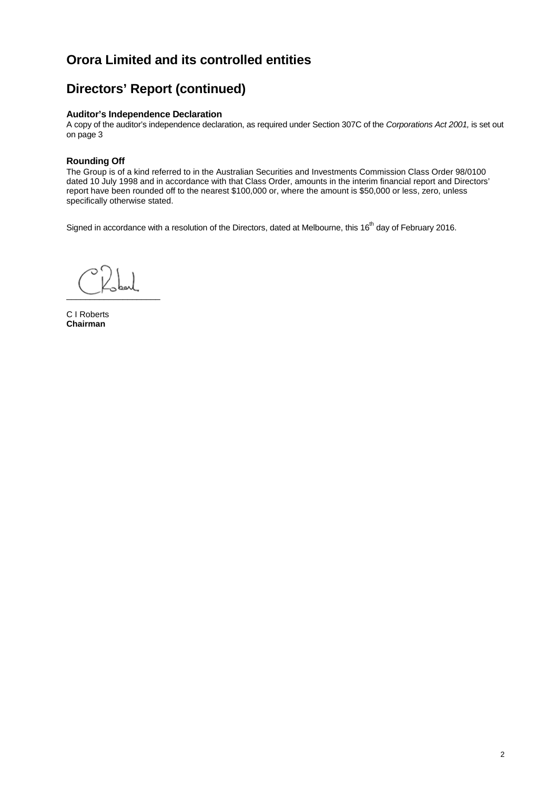# **Directors' Report (continued)**

#### **Auditor's Independence Declaration**

A copy of the auditor's independence declaration, as required under Section 307C of the *Corporations Act 2001,* is set out on page 3

#### **Rounding Off**

The Group is of a kind referred to in the Australian Securities and Investments Commission Class Order 98/0100 dated 10 July 1998 and in accordance with that Class Order, amounts in the interim financial report and Directors' report have been rounded off to the nearest \$100,000 or, where the amount is \$50,000 or less, zero, unless specifically otherwise stated.

Signed in accordance with a resolution of the Directors, dated at Melbourne, this 16<sup>th</sup> day of February 2016.

 $\overbrace{\phantom{aaaaa}}$ 

C I Roberts **Chairman**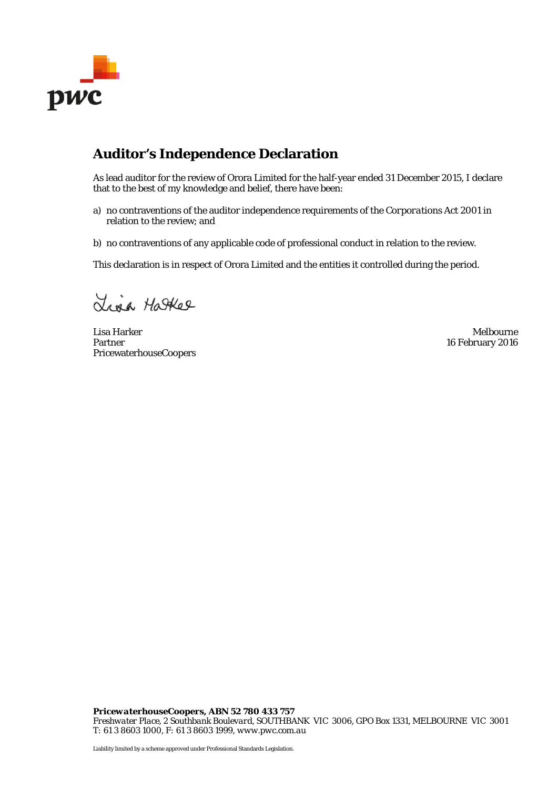

# **Auditor's Independence Declaration**

As lead auditor for the review of Orora Limited for the half-year ended 31 December 2015, I declare that to the best of my knowledge and belief, there have been:

- a) no contraventions of the auditor independence requirements of the *Corporations Act 2001* in relation to the review; and
- b) no contraventions of any applicable code of professional conduct in relation to the review.

This declaration is in respect of Orora Limited and the entities it controlled during the period.

Liga Hatker

Lisa Harker Melbourne Partner PricewaterhouseCoopers

16 February 2016

*PricewaterhouseCoopers, ABN 52 780 433 757 Freshwater Place, 2 Southbank Boulevard, SOUTHBANK VIC 3006, GPO Box 1331, MELBOURNE VIC 3001 T: 61 3 8603 1000, F: 61 3 8603 1999, www.pwc.com.au*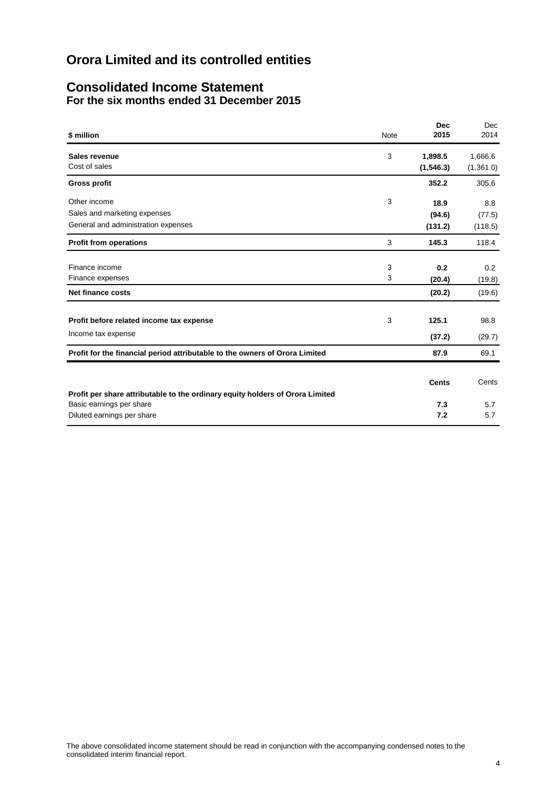### **Consolidated Income Statement For the six months ended 31 December 2015**

| \$ million                                                                    | <b>Note</b> | <b>Dec</b><br>2015    | Dec<br>2014          |
|-------------------------------------------------------------------------------|-------------|-----------------------|----------------------|
| Sales revenue<br>Cost of sales                                                | 3           | 1,898.5<br>(1, 546.3) | 1,666.6<br>(1,361.0) |
| <b>Gross profit</b>                                                           |             | 352.2                 | 305.6                |
| Other income<br>Sales and marketing expenses                                  | 3           | 18.9<br>(94.6)        | 8.8<br>(77.5)        |
| General and administration expenses                                           |             | (131.2)               | (118.5)              |
| <b>Profit from operations</b>                                                 | 3           | 145.3                 | 118.4                |
| Finance income<br>Finance expenses                                            | 3<br>3      | 0.2<br>(20.4)         | 0.2<br>(19.8)        |
| <b>Net finance costs</b>                                                      |             | (20.2)                | (19.6)               |
| Profit before related income tax expense                                      | 3           | 125.1                 | 98.8                 |
| Income tax expense                                                            |             | (37.2)                | (29.7)               |
| Profit for the financial period attributable to the owners of Orora Limited   |             | 87.9                  | 69.1                 |
| Profit per share attributable to the ordinary equity holders of Orora Limited |             | Cents                 | Cents                |
| Basic earnings per share<br>Diluted earnings per share                        |             | 7.3<br>7.2            | 5.7<br>5.7           |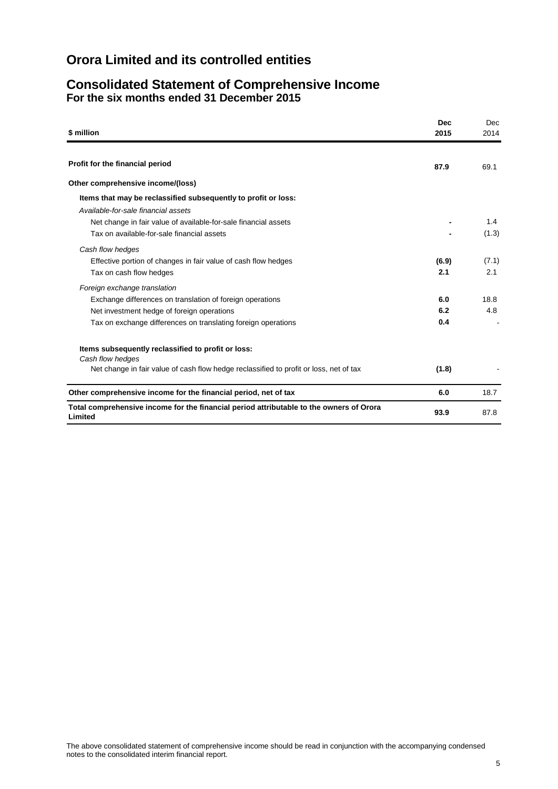### **Consolidated Statement of Comprehensive Income For the six months ended 31 December 2015**

| \$ million                                                                                                                                                                                               | <b>Dec</b><br>2015 | Dec<br>2014  |
|----------------------------------------------------------------------------------------------------------------------------------------------------------------------------------------------------------|--------------------|--------------|
|                                                                                                                                                                                                          |                    |              |
| Profit for the financial period                                                                                                                                                                          | 87.9               | 69.1         |
| Other comprehensive income/(loss)                                                                                                                                                                        |                    |              |
| Items that may be reclassified subsequently to profit or loss:<br>Available-for-sale financial assets                                                                                                    |                    |              |
| Net change in fair value of available-for-sale financial assets<br>Tax on available-for-sale financial assets                                                                                            |                    | 1.4<br>(1.3) |
| Cash flow hedges<br>Effective portion of changes in fair value of cash flow hedges<br>Tax on cash flow hedges                                                                                            | (6.9)<br>2.1       | (7.1)<br>2.1 |
| Foreign exchange translation<br>Exchange differences on translation of foreign operations<br>Net investment hedge of foreign operations<br>Tax on exchange differences on translating foreign operations | 6.0<br>6.2<br>0.4  | 18.8<br>4.8  |
| Items subsequently reclassified to profit or loss:<br>Cash flow hedges<br>Net change in fair value of cash flow hedge reclassified to profit or loss, net of tax                                         | (1.8)              |              |
| Other comprehensive income for the financial period, net of tax                                                                                                                                          | 6.0                | 18.7         |
| Total comprehensive income for the financial period attributable to the owners of Orora<br>Limited                                                                                                       | 93.9               | 87.8         |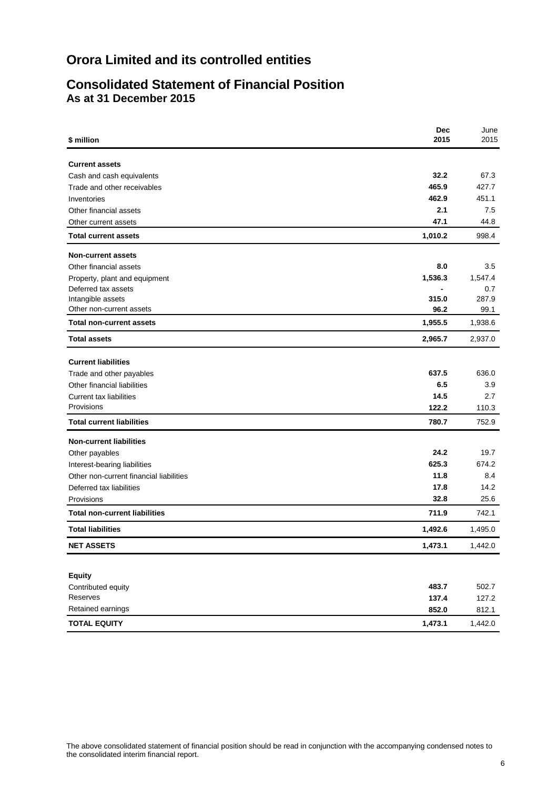### **Consolidated Statement of Financial Position As at 31 December 2015**

| \$ million                                         | <b>Dec</b><br>2015 | June<br>2015 |
|----------------------------------------------------|--------------------|--------------|
|                                                    |                    |              |
| <b>Current assets</b><br>Cash and cash equivalents | 32.2               | 67.3         |
| Trade and other receivables                        | 465.9              | 427.7        |
| Inventories                                        | 462.9              | 451.1        |
| Other financial assets                             | 2.1                | 7.5          |
| Other current assets                               | 47.1               | 44.8         |
| <b>Total current assets</b>                        | 1,010.2            | 998.4        |
| <b>Non-current assets</b>                          |                    |              |
| Other financial assets                             | 8.0                | 3.5          |
| Property, plant and equipment                      | 1,536.3            | 1,547.4      |
| Deferred tax assets                                |                    | 0.7          |
| Intangible assets                                  | 315.0              | 287.9        |
| Other non-current assets                           | 96.2               | 99.1         |
| <b>Total non-current assets</b>                    | 1,955.5            | 1,938.6      |
| <b>Total assets</b>                                | 2,965.7            | 2,937.0      |
| <b>Current liabilities</b>                         |                    |              |
| Trade and other payables                           | 637.5              | 636.0        |
| Other financial liabilities                        | 6.5                | 3.9          |
| <b>Current tax liabilities</b>                     | 14.5               | 2.7          |
| Provisions                                         | 122.2              | 110.3        |
| <b>Total current liabilities</b>                   | 780.7              | 752.9        |
| <b>Non-current liabilities</b>                     |                    |              |
| Other payables                                     | 24.2               | 19.7         |
| Interest-bearing liabilities                       | 625.3              | 674.2        |
| Other non-current financial liabilities            | 11.8               | 8.4          |
| Deferred tax liabilities                           | 17.8               | 14.2         |
| Provisions                                         | 32.8               | 25.6         |
| <b>Total non-current liabilities</b>               | 711.9              | 742.1        |
| <b>Total liabilities</b>                           | 1,492.6            | 1,495.0      |
| <b>NET ASSETS</b>                                  | 1,473.1            | 1,442.0      |
|                                                    |                    |              |
| <b>Equity</b>                                      |                    |              |
| Contributed equity                                 | 483.7              | 502.7        |
| Reserves                                           | 137.4              | 127.2        |
| Retained earnings                                  | 852.0              | 812.1        |
| <b>TOTAL EQUITY</b>                                | 1,473.1            | 1,442.0      |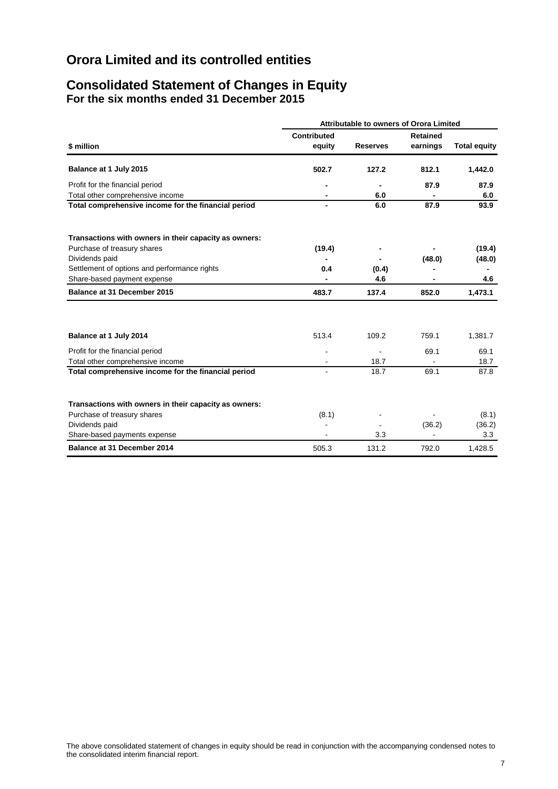### **Consolidated Statement of Changes in Equity For the six months ended 31 December 2015**

|                                                                     | <b>Attributable to owners of Orora Limited</b> |                 |                             |                     |  |  |  |
|---------------------------------------------------------------------|------------------------------------------------|-----------------|-----------------------------|---------------------|--|--|--|
| \$ million                                                          | <b>Contributed</b><br>equity                   | <b>Reserves</b> | <b>Retained</b><br>earnings | <b>Total equity</b> |  |  |  |
| Balance at 1 July 2015                                              | 502.7                                          | 127.2           | 812.1                       | 1,442.0             |  |  |  |
| Profit for the financial period<br>Total other comprehensive income |                                                | 6.0             | 87.9                        | 87.9<br>6.0         |  |  |  |
| Total comprehensive income for the financial period                 |                                                | 6.0             | 87.9                        | 93.9                |  |  |  |
| Transactions with owners in their capacity as owners:               |                                                |                 |                             |                     |  |  |  |
| Purchase of treasury shares                                         | (19.4)                                         |                 |                             | (19.4)              |  |  |  |
| Dividends paid                                                      |                                                |                 | (48.0)                      | (48.0)              |  |  |  |
| Settlement of options and performance rights                        | 0.4                                            | (0.4)           |                             |                     |  |  |  |
| Share-based payment expense                                         |                                                | 4.6             |                             | 4.6                 |  |  |  |
| Balance at 31 December 2015                                         | 483.7                                          | 137.4           | 852.0                       | 1,473.1             |  |  |  |
|                                                                     |                                                |                 |                             |                     |  |  |  |
| Balance at 1 July 2014                                              | 513.4                                          | 109.2           | 759.1                       | 1,381.7             |  |  |  |
| Profit for the financial period                                     | $\blacksquare$                                 |                 | 69.1                        | 69.1                |  |  |  |
| Total other comprehensive income                                    |                                                | 18.7            |                             | 18.7                |  |  |  |
| Total comprehensive income for the financial period                 |                                                | 18.7            | 69.1                        | 87.8                |  |  |  |
| Transactions with owners in their capacity as owners:               |                                                |                 |                             |                     |  |  |  |
| Purchase of treasury shares                                         | (8.1)                                          |                 |                             | (8.1)               |  |  |  |
| Dividends paid                                                      |                                                |                 | (36.2)                      | (36.2)              |  |  |  |
| Share-based payments expense                                        |                                                | 3.3             |                             | 3.3                 |  |  |  |
| Balance at 31 December 2014                                         | 505.3                                          | 131.2           | 792.0                       | 1,428.5             |  |  |  |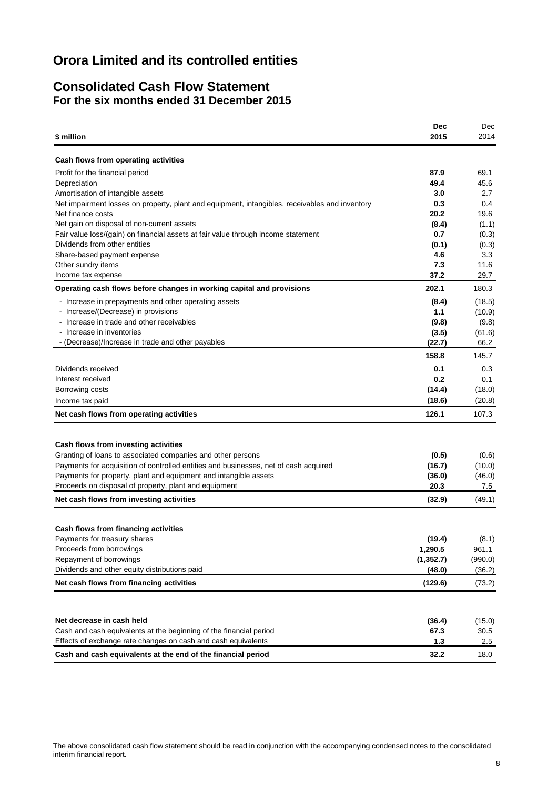### **Consolidated Cash Flow Statement For the six months ended 31 December 2015**

|                                                                                                                    | Dec          | Dec          |
|--------------------------------------------------------------------------------------------------------------------|--------------|--------------|
| \$ million                                                                                                         | 2015         | 2014         |
|                                                                                                                    |              |              |
| Cash flows from operating activities                                                                               |              |              |
| Profit for the financial period                                                                                    | 87.9         | 69.1         |
| Depreciation                                                                                                       | 49.4         | 45.6         |
| Amortisation of intangible assets                                                                                  | 3.0          | 2.7          |
| Net impairment losses on property, plant and equipment, intangibles, receivables and inventory                     | 0.3          | 0.4          |
| Net finance costs                                                                                                  | 20.2         | 19.6         |
| Net gain on disposal of non-current assets                                                                         | (8.4)        | (1.1)        |
| Fair value loss/(gain) on financial assets at fair value through income statement<br>Dividends from other entities | 0.7<br>(0.1) | (0.3)        |
| Share-based payment expense                                                                                        | 4.6          | (0.3)<br>3.3 |
| Other sundry items                                                                                                 | 7.3          | 11.6         |
| Income tax expense                                                                                                 | 37.2         | 29.7         |
| Operating cash flows before changes in working capital and provisions                                              | 202.1        | 180.3        |
| - Increase in prepayments and other operating assets                                                               | (8.4)        | (18.5)       |
| - Increase/(Decrease) in provisions                                                                                | 1.1          | (10.9)       |
| - Increase in trade and other receivables                                                                          | (9.8)        | (9.8)        |
| - Increase in inventories                                                                                          | (3.5)        | (61.6)       |
| - (Decrease)/Increase in trade and other payables                                                                  | (22.7)       | 66.2         |
|                                                                                                                    | 158.8        | 145.7        |
| Dividends received                                                                                                 | 0.1          | 0.3          |
| Interest received                                                                                                  | 0.2          | 0.1          |
| Borrowing costs                                                                                                    | (14.4)       | (18.0)       |
| Income tax paid                                                                                                    | (18.6)       | (20.8)       |
| Net cash flows from operating activities                                                                           | 126.1        | 107.3        |
|                                                                                                                    |              |              |
| Cash flows from investing activities                                                                               |              |              |
| Granting of loans to associated companies and other persons                                                        | (0.5)        | (0.6)        |
| Payments for acquisition of controlled entities and businesses, net of cash acquired                               | (16.7)       | (10.0)       |
| Payments for property, plant and equipment and intangible assets                                                   | (36.0)       | (46.0)       |
| Proceeds on disposal of property, plant and equipment                                                              | 20.3         | 7.5          |
| Net cash flows from investing activities                                                                           | (32.9)       | (49.1)       |
|                                                                                                                    |              |              |
| Cash flows from financing activities                                                                               |              |              |
| Payments for treasury shares                                                                                       | (19.4)       | (8.1)        |
| Proceeds from borrowings                                                                                           | 1,290.5      | 961.1        |
| Repayment of borrowings                                                                                            | (1, 352.7)   | (990.0)      |
| Dividends and other equity distributions paid                                                                      | (48.0)       | (36.2)       |
| Net cash flows from financing activities                                                                           | (129.6)      | (73.2)       |
|                                                                                                                    |              |              |
| Net decrease in cash held                                                                                          | (36.4)       | (15.0)       |
| Cash and cash equivalents at the beginning of the financial period                                                 | 67.3         | 30.5         |
| Effects of exchange rate changes on cash and cash equivalents                                                      | 1.3          | $2.5\,$      |
| Cash and cash equivalents at the end of the financial period                                                       | 32.2         | 18.0         |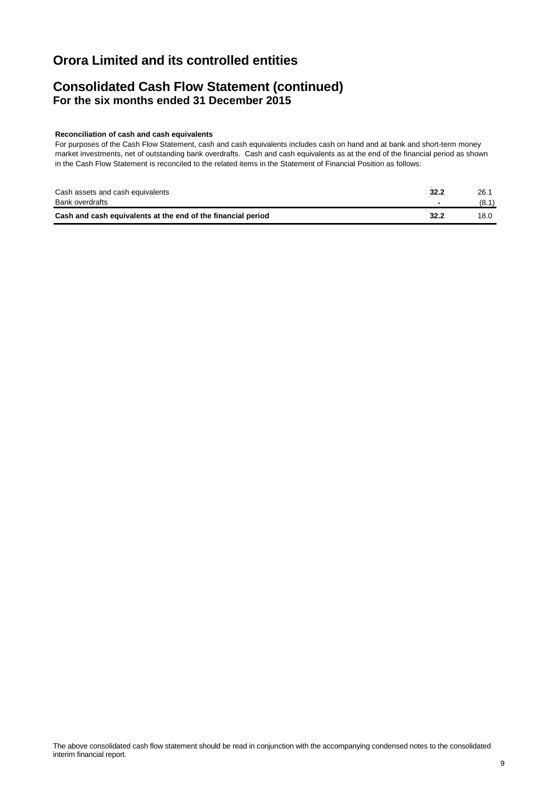### **Consolidated Cash Flow Statement (continued) For the six months ended 31 December 2015**

#### **Reconciliation of cash and cash equivalents**

For purposes of the Cash Flow Statement, cash and cash equivalents includes cash on hand and at bank and short-term money market investments, net of outstanding bank overdrafts. Cash and cash equivalents as at the end of the financial period as shown in the Cash Flow Statement is reconciled to the related items in the Statement of Financial Position as follows:

| Cash assets and cash equivalents                             | 32.2 | 26.   |
|--------------------------------------------------------------|------|-------|
| Bank overdrafts                                              |      | (8.1) |
| Cash and cash equivalents at the end of the financial period | 32.2 | 18.0  |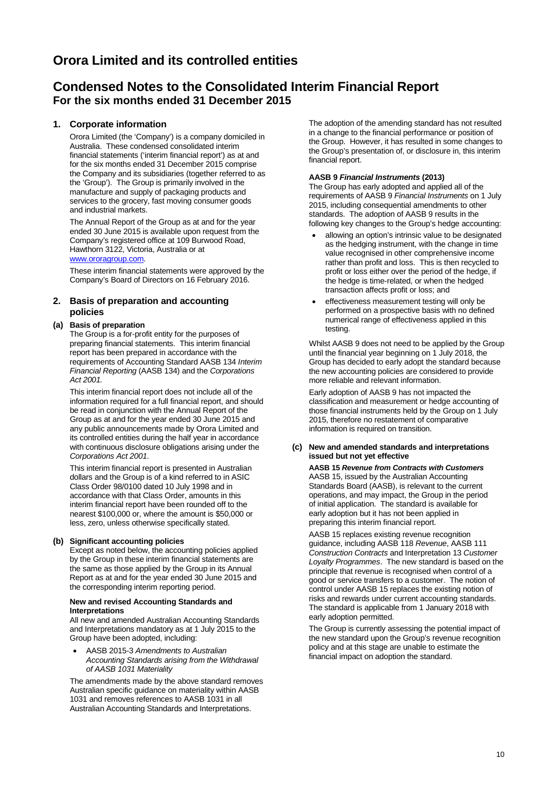### **Condensed Notes to the Consolidated Interim Financial Report For the six months ended 31 December 2015**

#### **1. Corporate information**

Orora Limited (the 'Company') is a company domiciled in Australia. These condensed consolidated interim financial statements ('interim financial report') as at and for the six months ended 31 December 2015 comprise the Company and its subsidiaries (together referred to as the 'Group'). The Group is primarily involved in the manufacture and supply of packaging products and services to the grocery, fast moving consumer goods and industrial markets.

The Annual Report of the Group as at and for the year ended 30 June 2015 is available upon request from the Company's registered office at 109 Burwood Road, Hawthorn 3122, Victoria, Australia or at [www.ororagroup.com.](http://www.ororagroup.com/)

These interim financial statements were approved by the Company's Board of Directors on 16 February 2016.

#### **2. Basis of preparation and accounting policies**

#### **(a) Basis of preparation**

The Group is a for-profit entity for the purposes of preparing financial statements. This interim financial report has been prepared in accordance with the requirements of Accounting Standard AASB 134 *Interim Financial Reporting* (AASB 134) and the *Corporations Act 2001.*

This interim financial report does not include all of the information required for a full financial report, and should be read in conjunction with the Annual Report of the Group as at and for the year ended 30 June 2015 and any public announcements made by Orora Limited and its controlled entities during the half year in accordance with continuous disclosure obligations arising under the *Corporations Act 2001*.

This interim financial report is presented in Australian dollars and the Group is of a kind referred to in ASIC Class Order 98/0100 dated 10 July 1998 and in accordance with that Class Order, amounts in this interim financial report have been rounded off to the nearest \$100,000 or, where the amount is \$50,000 or less, zero, unless otherwise specifically stated.

#### **(b) Significant accounting policies**

Except as noted below, the accounting policies applied by the Group in these interim financial statements are the same as those applied by the Group in its Annual Report as at and for the year ended 30 June 2015 and the corresponding interim reporting period.

#### **New and revised Accounting Standards and Interpretations**

All new and amended Australian Accounting Standards and Interpretations mandatory as at 1 July 2015 to the Group have been adopted, including:

• AASB 2015-3 *Amendments to Australian Accounting Standards arising from the Withdrawal of AASB 1031 Materiality*

The amendments made by the above standard removes Australian specific guidance on materiality within AASB 1031 and removes references to AASB 1031 in all Australian Accounting Standards and Interpretations.

The adoption of the amending standard has not resulted in a change to the financial performance or position of the Group. However, it has resulted in some changes to the Group's presentation of, or disclosure in, this interim financial report.

#### **AASB 9** *Financial Instruments* **(2013)**

The Group has early adopted and applied all of the requirements of AASB 9 *Financial Instruments* on 1 July 2015, including consequential amendments to other standards. The adoption of AASB 9 results in the following key changes to the Group's hedge accounting:

- allowing an option's intrinsic value to be designated as the hedging instrument, with the change in time value recognised in other comprehensive income rather than profit and loss. This is then recycled to profit or loss either over the period of the hedge, if the hedge is time-related, or when the hedged transaction affects profit or loss; and
- effectiveness measurement testing will only be performed on a prospective basis with no defined numerical range of effectiveness applied in this testing.

Whilst AASB 9 does not need to be applied by the Group until the financial year beginning on 1 July 2018, the Group has decided to early adopt the standard because the new accounting policies are considered to provide more reliable and relevant information.

Early adoption of AASB 9 has not impacted the classification and measurement or hedge accounting of those financial instruments held by the Group on 1 July 2015, therefore no restatement of comparative information is required on transition.

#### **(c) New and amended standards and interpretations issued but not yet effective**

**AASB 15** *Revenue from Contracts with Customers* AASB 15, issued by the Australian Accounting Standards Board (AASB), is relevant to the current operations, and may impact, the Group in the period of initial application. The standard is available for early adoption but it has not been applied in preparing this interim financial report.

AASB 15 replaces existing revenue recognition guidance, including AASB 118 *Revenue*, AASB 111 *Construction Contracts* and Interpretation 13 *Customer Loyalty Programmes*. The new standard is based on the principle that revenue is recognised when control of a good or service transfers to a customer. The notion of control under AASB 15 replaces the existing notion of risks and rewards under current accounting standards. The standard is applicable from 1 January 2018 with early adoption permitted.

The Group is currently assessing the potential impact of the new standard upon the Group's revenue recognition policy and at this stage are unable to estimate the financial impact on adoption the standard.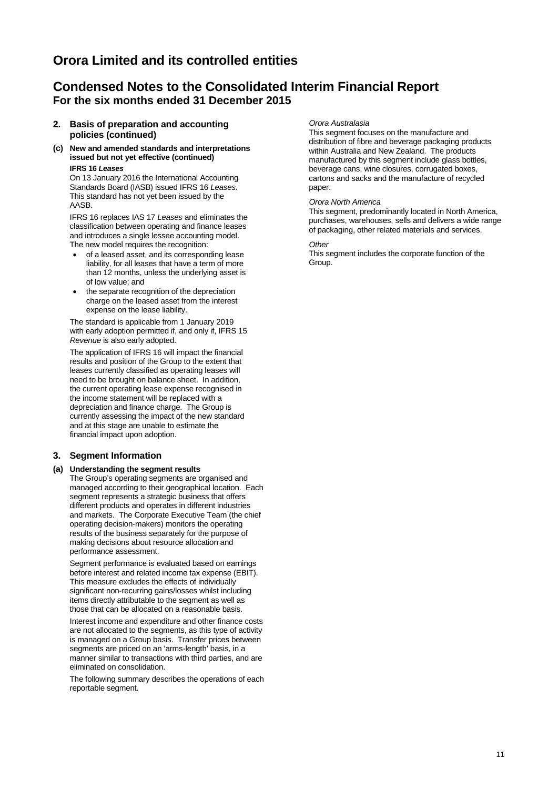### **Condensed Notes to the Consolidated Interim Financial Report For the six months ended 31 December 2015**

- **2. Basis of preparation and accounting policies (continued)**
- **(c) New and amended standards and interpretations issued but not yet effective (continued) IFRS 16** *Leases*

On 13 January 2016 the International Accounting Standards Board (IASB) issued IFRS 16 *Leases.*  This standard has not yet been issued by the AASB.

IFRS 16 replaces IAS 17 *Leases* and eliminates the classification between operating and finance leases and introduces a single lessee accounting model. The new model requires the recognition:

- of a leased asset, and its corresponding lease liability, for all leases that have a term of more than 12 months, unless the underlying asset is of low value; and
- the separate recognition of the depreciation charge on the leased asset from the interest expense on the lease liability.

The standard is applicable from 1 January 2019 with early adoption permitted if, and only if, IFRS 15 *Revenue* is also early adopted.

The application of IFRS 16 will impact the financial results and position of the Group to the extent that leases currently classified as operating leases will need to be brought on balance sheet. In addition, the current operating lease expense recognised in the income statement will be replaced with a depreciation and finance charge. The Group is currently assessing the impact of the new standard and at this stage are unable to estimate the financial impact upon adoption.

#### **3. Segment Information**

#### **(a) Understanding the segment results**

The Group's operating segments are organised and managed according to their geographical location. Each segment represents a strategic business that offers different products and operates in different industries and markets. The Corporate Executive Team (the chief operating decision-makers) monitors the operating results of the business separately for the purpose of making decisions about resource allocation and performance assessment.

Segment performance is evaluated based on earnings before interest and related income tax expense (EBIT). This measure excludes the effects of individually significant non-recurring gains/losses whilst including items directly attributable to the segment as well as those that can be allocated on a reasonable basis.

Interest income and expenditure and other finance costs are not allocated to the segments, as this type of activity is managed on a Group basis. Transfer prices between segments are priced on an 'arms-length' basis, in a manner similar to transactions with third parties, and are eliminated on consolidation.

The following summary describes the operations of each reportable segment.

#### *Orora Australasia*

This segment focuses on the manufacture and distribution of fibre and beverage packaging products within Australia and New Zealand. The products manufactured by this segment include glass bottles, beverage cans, wine closures, corrugated boxes, cartons and sacks and the manufacture of recycled paper.

#### *Orora North America*

This segment, predominantly located in North America, purchases, warehouses, sells and delivers a wide range of packaging, other related materials and services.

#### *Other*

This segment includes the corporate function of the Group.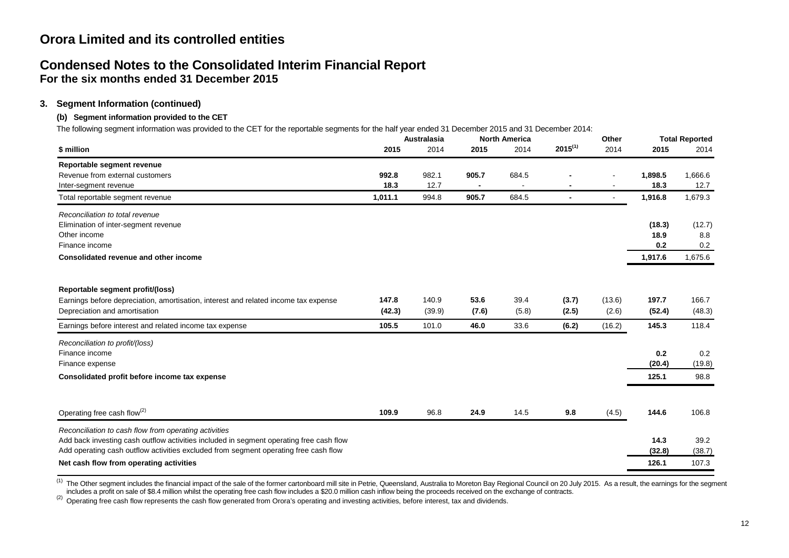### **Condensed Notes to the Consolidated Interim Financial Report For the six months ended 31 December 2015**

### **3. Segment Information (continued)**

#### **(b) Segment information provided to the CET**

The following segment information was provided to the CET for the reportable segments for the half year ended 31 December 2015 and 31 December 2014:

|                                                                                         | <b>Australasia</b> |        | <b>North America</b> |       |                | Other  |         | <b>Total Reported</b> |  |
|-----------------------------------------------------------------------------------------|--------------------|--------|----------------------|-------|----------------|--------|---------|-----------------------|--|
| \$ million                                                                              | 2015               | 2014   | 2015                 | 2014  | $2015^{(1)}$   | 2014   | 2015    | 2014                  |  |
| Reportable segment revenue                                                              |                    |        |                      |       |                |        |         |                       |  |
| Revenue from external customers                                                         | 992.8              | 982.1  | 905.7                | 684.5 |                |        | 1,898.5 | 1,666.6               |  |
| Inter-segment revenue                                                                   | 18.3               | 12.7   |                      |       |                |        | 18.3    | 12.7                  |  |
| Total reportable segment revenue                                                        | 1,011.1            | 994.8  | 905.7                | 684.5 | $\blacksquare$ |        | 1,916.8 | 1,679.3               |  |
| Reconciliation to total revenue                                                         |                    |        |                      |       |                |        |         |                       |  |
| Elimination of inter-segment revenue                                                    |                    |        |                      |       |                |        | (18.3)  | (12.7)                |  |
| Other income                                                                            |                    |        |                      |       |                |        | 18.9    | 8.8                   |  |
| Finance income                                                                          |                    |        |                      |       |                |        | 0.2     | 0.2                   |  |
| Consolidated revenue and other income                                                   |                    |        |                      |       |                |        | 1,917.6 | 1,675.6               |  |
|                                                                                         |                    |        |                      |       |                |        |         |                       |  |
| Reportable segment profit/(loss)                                                        |                    |        |                      |       |                |        |         |                       |  |
| Earnings before depreciation, amortisation, interest and related income tax expense     | 147.8              | 140.9  | 53.6                 | 39.4  | (3.7)          | (13.6) | 197.7   | 166.7                 |  |
| Depreciation and amortisation                                                           | (42.3)             | (39.9) | (7.6)                | (5.8) | (2.5)          | (2.6)  | (52.4)  | (48.3)                |  |
| Earnings before interest and related income tax expense                                 | 105.5              | 101.0  | 46.0                 | 33.6  | (6.2)          | (16.2) | 145.3   | 118.4                 |  |
| Reconciliation to profit/(loss)                                                         |                    |        |                      |       |                |        |         |                       |  |
| Finance income                                                                          |                    |        |                      |       |                |        | 0.2     | 0.2                   |  |
| Finance expense                                                                         |                    |        |                      |       |                |        | (20.4)  | (19.8)                |  |
| Consolidated profit before income tax expense                                           |                    |        |                      |       |                |        | 125.1   | 98.8                  |  |
|                                                                                         |                    |        |                      |       |                |        |         |                       |  |
| Operating free cash flow <sup>(2)</sup>                                                 | 109.9              | 96.8   | 24.9                 | 14.5  | 9.8            | (4.5)  | 144.6   | 106.8                 |  |
| Reconciliation to cash flow from operating activities                                   |                    |        |                      |       |                |        |         |                       |  |
| Add back investing cash outflow activities included in segment operating free cash flow |                    |        |                      |       |                |        | 14.3    | 39.2                  |  |
| Add operating cash outflow activities excluded from segment operating free cash flow    |                    |        |                      |       |                |        | (32.8)  | (38.7)                |  |
| Net cash flow from operating activities                                                 |                    |        |                      |       |                |        | 126.1   | 107.3                 |  |

<sup>(1)</sup> The Other segment includes the financial impact of the sale of the former cartonboard mill site in Petrie, Queensland, Australia to Moreton Bay Regional Council on 20 July 2015. As a result, the earnings for the segm

(2) Operating free cash flow represents the cash flow generated from Orora's operating and investing activities, before interest, tax and dividends.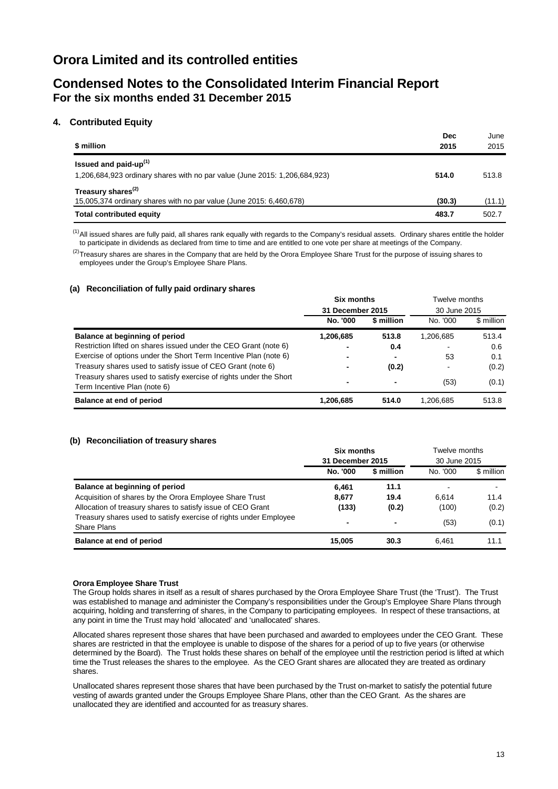### **Condensed Notes to the Consolidated Interim Financial Report For the six months ended 31 December 2015**

#### **4. Contributed Equity**

| \$ million                                                                                                      | <b>Dec</b><br>2015 | June<br>2015 |
|-----------------------------------------------------------------------------------------------------------------|--------------------|--------------|
| Issued and paid-up <sup>(1)</sup><br>1,206,684,923 ordinary shares with no par value (June 2015: 1,206,684,923) | 514.0              | 513.8        |
| Treasury shares <sup>(2)</sup><br>15,005,374 ordinary shares with no par value (June 2015: 6,460,678)           | (30.3)             | (11.1)       |
| <b>Total contributed equity</b>                                                                                 | 483.7              | 502.7        |

 $<sup>(1)</sup>$ All issued shares are fully paid, all shares rank equally with regards to the Company's residual assets. Ordinary shares entitle the holder</sup> to participate in dividends as declared from time to time and are entitled to one vote per share at meetings of the Company.

 $^{(2)}$ Treasury shares are shares in the Company that are held by the Orora Employee Share Trust for the purpose of issuing shares to employees under the Group's Employee Share Plans.

#### **(a) Reconciliation of fully paid ordinary shares**

|                                                                                                    | <b>Six months</b><br>31 December 2015 |            | Twelve months<br>30 June 2015 |            |
|----------------------------------------------------------------------------------------------------|---------------------------------------|------------|-------------------------------|------------|
|                                                                                                    |                                       |            |                               |            |
|                                                                                                    | No. '000                              | \$ million | No. '000                      | \$ million |
| Balance at beginning of period                                                                     | 1,206,685                             | 513.8      | 1,206,685                     | 513.4      |
| Restriction lifted on shares issued under the CEO Grant (note 6)                                   |                                       | 0.4        |                               | 0.6        |
| Exercise of options under the Short Term Incentive Plan (note 6)                                   | $\overline{\phantom{0}}$              | ۰          | 53                            | 0.1        |
| Treasury shares used to satisfy issue of CEO Grant (note 6)                                        | $\overline{\phantom{0}}$              | (0.2)      |                               | (0.2)      |
| Treasury shares used to satisfy exercise of rights under the Short<br>Term Incentive Plan (note 6) | $\blacksquare$                        | ۰          | (53)                          | (0.1)      |
| Balance at end of period                                                                           | 1,206,685                             | 514.0      | 1,206,685                     | 513.8      |

#### **(b) Reconciliation of treasury shares**

|                                                                                         | <b>Six months</b><br>31 December 2015 |                | Twelve months<br>30 June 2015 |            |
|-----------------------------------------------------------------------------------------|---------------------------------------|----------------|-------------------------------|------------|
|                                                                                         | No. '000                              | \$ million     | No. '000                      | \$ million |
| Balance at beginning of period                                                          | 6.461                                 | 11.1           | $\overline{\phantom{a}}$      |            |
| Acquisition of shares by the Orora Employee Share Trust                                 | 8,677                                 | 19.4           | 6.614                         | 11.4       |
| Allocation of treasury shares to satisfy issue of CEO Grant                             | (133)                                 | (0.2)          | (100)                         | (0.2)      |
| Treasury shares used to satisfy exercise of rights under Employee<br><b>Share Plans</b> | -                                     | $\blacksquare$ | (53)                          | (0.1)      |
| Balance at end of period                                                                | 15.005                                | 30.3           | 6.461                         | 11.1       |

#### **Orora Employee Share Trust**

The Group holds shares in itself as a result of shares purchased by the Orora Employee Share Trust (the 'Trust'). The Trust was established to manage and administer the Company's responsibilities under the Group's Employee Share Plans through acquiring, holding and transferring of shares, in the Company to participating employees. In respect of these transactions, at any point in time the Trust may hold 'allocated' and 'unallocated' shares.

Allocated shares represent those shares that have been purchased and awarded to employees under the CEO Grant. These shares are restricted in that the employee is unable to dispose of the shares for a period of up to five years (or otherwise determined by the Board). The Trust holds these shares on behalf of the employee until the restriction period is lifted at which time the Trust releases the shares to the employee. As the CEO Grant shares are allocated they are treated as ordinary shares.

Unallocated shares represent those shares that have been purchased by the Trust on-market to satisfy the potential future vesting of awards granted under the Groups Employee Share Plans, other than the CEO Grant. As the shares are unallocated they are identified and accounted for as treasury shares.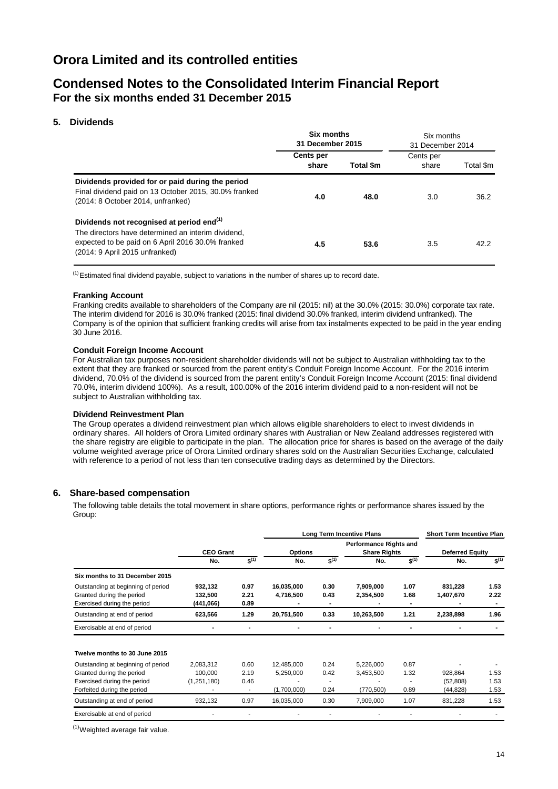### **Condensed Notes to the Consolidated Interim Financial Report For the six months ended 31 December 2015**

#### **5. Dividends**

|                                                                                                                                                                                                    | <b>Six months</b><br>31 December 2015 |                  | Six months<br>31 December 2014 |           |
|----------------------------------------------------------------------------------------------------------------------------------------------------------------------------------------------------|---------------------------------------|------------------|--------------------------------|-----------|
|                                                                                                                                                                                                    | Cents per<br>share                    | <b>Total \$m</b> | Cents per<br>share             | Total \$m |
| Dividends provided for or paid during the period<br>Final dividend paid on 13 October 2015, 30.0% franked<br>(2014: 8 October 2014, unfranked)                                                     | 4.0                                   | 48.0             | 3.0                            | 36.2      |
| Dividends not recognised at period end <sup>(1)</sup><br>The directors have determined an interim dividend.<br>expected to be paid on 6 April 2016 30.0% franked<br>(2014: 9 April 2015 unfranked) | 4.5                                   | 53.6             | 3.5                            | 42.2      |

 $<sup>(1)</sup>$ Estimated final dividend payable, subject to variations in the number of shares up to record date.</sup>

#### **Franking Account**

Franking credits available to shareholders of the Company are nil (2015: nil) at the 30.0% (2015: 30.0%) corporate tax rate. The interim dividend for 2016 is 30.0% franked (2015: final dividend 30.0% franked, interim dividend unfranked). The Company is of the opinion that sufficient franking credits will arise from tax instalments expected to be paid in the year ending 30 June 2016.

#### **Conduit Foreign Income Account**

For Australian tax purposes non-resident shareholder dividends will not be subject to Australian withholding tax to the extent that they are franked or sourced from the parent entity's Conduit Foreign Income Account. For the 2016 interim dividend, 70.0% of the dividend is sourced from the parent entity's Conduit Foreign Income Account (2015: final dividend 70.0%, interim dividend 100%). As a result, 100.00% of the 2016 interim dividend paid to a non-resident will not be subject to Australian withholding tax.

#### **Dividend Reinvestment Plan**

The Group operates a dividend reinvestment plan which allows eligible shareholders to elect to invest dividends in ordinary shares. All holders of Orora Limited ordinary shares with Australian or New Zealand addresses registered with the share registry are eligible to participate in the plan. The allocation price for shares is based on the average of the daily volume weighted average price of Orora Limited ordinary shares sold on the Australian Securities Exchange, calculated with reference to a period of not less than ten consecutive trading days as determined by the Directors.

#### **6. Share-based compensation**

The following table details the total movement in share options, performance rights or performance shares issued by the Group:

|                                                                                                |                                 |                          |                         |              | <b>Long Term Incentive Plans</b>                     |              | <b>Short Term Incentive Plan</b> |              |
|------------------------------------------------------------------------------------------------|---------------------------------|--------------------------|-------------------------|--------------|------------------------------------------------------|--------------|----------------------------------|--------------|
|                                                                                                | <b>CEO Grant</b>                |                          | <b>Options</b>          |              | <b>Performance Rights and</b><br><b>Share Rights</b> |              | <b>Deferred Equity</b>           |              |
|                                                                                                | No.                             | $\mathbf{\hat{s}}^{(1)}$ | No.                     | $S^{(1)}$    | No.                                                  | $S^{(1)}$    | No.                              | $S^{(1)}$    |
| Six months to 31 December 2015                                                                 |                                 |                          |                         |              |                                                      |              |                                  |              |
| Outstanding at beginning of period<br>Granted during the period<br>Exercised during the period | 932,132<br>132,500<br>(441,066) | 0.97<br>2.21<br>0.89     | 16,035,000<br>4,716,500 | 0.30<br>0.43 | 7,909,000<br>2,354,500                               | 1.07<br>1.68 | 831,228<br>1,407,670             | 1.53<br>2.22 |
| Outstanding at end of period                                                                   | 623,566                         | 1.29                     | 20,751,500              | 0.33         | 10,263,500                                           | 1.21         | 2,238,898                        | 1.96         |
| Exercisable at end of period                                                                   |                                 |                          |                         |              |                                                      |              |                                  |              |
| Twelve months to 30 June 2015                                                                  |                                 |                          |                         |              |                                                      |              |                                  |              |
| Outstanding at beginning of period                                                             | 2,083,312                       | 0.60                     | 12,485,000              | 0.24         | 5,226,000                                            | 0.87         |                                  |              |
| Granted during the period                                                                      | 100,000                         | 2.19                     | 5,250,000               | 0.42         | 3,453,500                                            | 1.32         | 928,864                          | 1.53         |
| Exercised during the period                                                                    | (1,251,180)                     | 0.46                     |                         | ٠            |                                                      |              | (52, 808)                        | 1.53         |
| Forfeited during the period                                                                    |                                 | $\overline{\phantom{a}}$ | (1,700,000)             | 0.24         | (770, 500)                                           | 0.89         | (44, 828)                        | 1.53         |
| Outstanding at end of period                                                                   | 932,132                         | 0.97                     | 16,035,000              | 0.30         | 7,909,000                                            | 1.07         | 831,228                          | 1.53         |
| Exercisable at end of period                                                                   |                                 |                          |                         |              |                                                      |              |                                  |              |
|                                                                                                |                                 |                          |                         |              |                                                      |              |                                  |              |

<sup>(1)</sup>Weighted average fair value.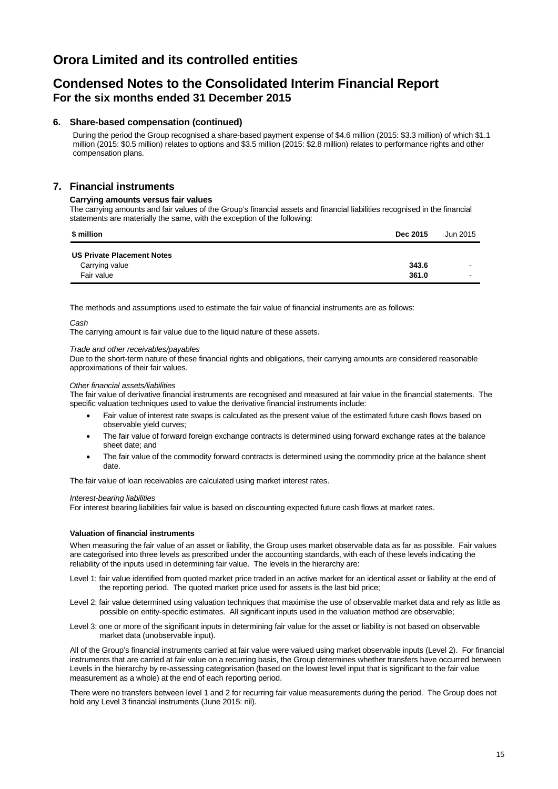### **Condensed Notes to the Consolidated Interim Financial Report For the six months ended 31 December 2015**

#### **6. Share-based compensation (continued)**

During the period the Group recognised a share-based payment expense of \$4.6 million (2015: \$3.3 million) of which \$1.1 million (2015: \$0.5 million) relates to options and \$3.5 million (2015: \$2.8 million) relates to performance rights and other compensation plans.

#### **7. Financial instruments**

#### **Carrying amounts versus fair values**

The carrying amounts and fair values of the Group's financial assets and financial liabilities recognised in the financial statements are materially the same, with the exception of the following:

| \$ million                        | <b>Dec 2015</b> | Jun 2015 |
|-----------------------------------|-----------------|----------|
| <b>US Private Placement Notes</b> |                 |          |
| Carrying value                    | 343.6           | $\sim$   |
| Fair value                        | 361.0           |          |

The methods and assumptions used to estimate the fair value of financial instruments are as follows:

#### *Cash*

The carrying amount is fair value due to the liquid nature of these assets.

#### *Trade and other receivables/payables*

Due to the short-term nature of these financial rights and obligations, their carrying amounts are considered reasonable approximations of their fair values.

#### *Other financial assets/liabilities*

The fair value of derivative financial instruments are recognised and measured at fair value in the financial statements. The specific valuation techniques used to value the derivative financial instruments include:

- Fair value of interest rate swaps is calculated as the present value of the estimated future cash flows based on observable yield curves;
- The fair value of forward foreign exchange contracts is determined using forward exchange rates at the balance sheet date; and
- The fair value of the commodity forward contracts is determined using the commodity price at the balance sheet date.

The fair value of loan receivables are calculated using market interest rates.

#### *Interest-bearing liabilities*

For interest bearing liabilities fair value is based on discounting expected future cash flows at market rates.

#### **Valuation of financial instruments**

When measuring the fair value of an asset or liability, the Group uses market observable data as far as possible. Fair values are categorised into three levels as prescribed under the accounting standards, with each of these levels indicating the reliability of the inputs used in determining fair value. The levels in the hierarchy are:

- Level 1: fair value identified from quoted market price traded in an active market for an identical asset or liability at the end of the reporting period. The quoted market price used for assets is the last bid price;
- Level 2: fair value determined using valuation techniques that maximise the use of observable market data and rely as little as possible on entity-specific estimates. All significant inputs used in the valuation method are observable;
- Level 3: one or more of the significant inputs in determining fair value for the asset or liability is not based on observable market data (unobservable input).

All of the Group's financial instruments carried at fair value were valued using market observable inputs (Level 2). For financial instruments that are carried at fair value on a recurring basis, the Group determines whether transfers have occurred between Levels in the hierarchy by re-assessing categorisation (based on the lowest level input that is significant to the fair value measurement as a whole) at the end of each reporting period.

There were no transfers between level 1 and 2 for recurring fair value measurements during the period. The Group does not hold any Level 3 financial instruments (June 2015: nil).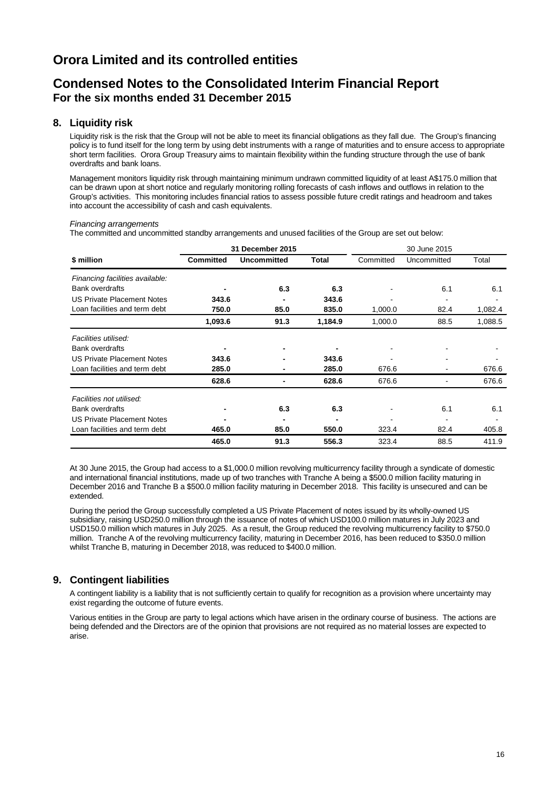### **Condensed Notes to the Consolidated Interim Financial Report For the six months ended 31 December 2015**

#### **8. Liquidity risk**

Liquidity risk is the risk that the Group will not be able to meet its financial obligations as they fall due. The Group's financing policy is to fund itself for the long term by using debt instruments with a range of maturities and to ensure access to appropriate short term facilities. Orora Group Treasury aims to maintain flexibility within the funding structure through the use of bank overdrafts and bank loans.

Management monitors liquidity risk through maintaining minimum undrawn committed liquidity of at least A\$175.0 million that can be drawn upon at short notice and regularly monitoring rolling forecasts of cash inflows and outflows in relation to the Group's activities. This monitoring includes financial ratios to assess possible future credit ratings and headroom and takes into account the accessibility of cash and cash equivalents.

#### *Financing arrangements*

The committed and uncommitted standby arrangements and unused facilities of the Group are set out below:

|                                   |                  | 31 December 2015   |              | 30 June 2015 |             |         |
|-----------------------------------|------------------|--------------------|--------------|--------------|-------------|---------|
| \$ million                        | <b>Committed</b> | <b>Uncommitted</b> | <b>Total</b> | Committed    | Uncommitted | Total   |
| Financing facilities available:   |                  |                    |              |              |             |         |
| <b>Bank overdrafts</b>            |                  | 6.3                | 6.3          |              | 6.1         | 6.1     |
| <b>US Private Placement Notes</b> | 343.6            |                    | 343.6        |              | ۰           |         |
| Loan facilities and term debt     | 750.0            | 85.0               | 835.0        | 1,000.0      | 82.4        | 1,082.4 |
|                                   | 1,093.6          | 91.3               | 1,184.9      | 1,000.0      | 88.5        | 1,088.5 |
| Facilities utilised:              |                  |                    |              |              |             |         |
| <b>Bank overdrafts</b>            | $\blacksquare$   |                    |              |              |             |         |
| <b>US Private Placement Notes</b> | 343.6            |                    | 343.6        |              | ۰           |         |
| Loan facilities and term debt     | 285.0            |                    | 285.0        | 676.6        | ۰           | 676.6   |
|                                   | 628.6            |                    | 628.6        | 676.6        |             | 676.6   |
| Facilities not utilised:          |                  |                    |              |              |             |         |
| <b>Bank overdrafts</b>            |                  | 6.3                | 6.3          |              | 6.1         | 6.1     |
| <b>US Private Placement Notes</b> |                  |                    |              |              |             |         |
| Loan facilities and term debt     | 465.0            | 85.0               | 550.0        | 323.4        | 82.4        | 405.8   |
|                                   | 465.0            | 91.3               | 556.3        | 323.4        | 88.5        | 411.9   |

At 30 June 2015, the Group had access to a \$1,000.0 million revolving multicurrency facility through a syndicate of domestic and international financial institutions, made up of two tranches with Tranche A being a \$500.0 million facility maturing in December 2016 and Tranche B a \$500.0 million facility maturing in December 2018. This facility is unsecured and can be extended.

During the period the Group successfully completed a US Private Placement of notes issued by its wholly-owned US subsidiary, raising USD250.0 million through the issuance of notes of which USD100.0 million matures in July 2023 and USD150.0 million which matures in July 2025. As a result, the Group reduced the revolving multicurrency facility to \$750.0 million. Tranche A of the revolving multicurrency facility, maturing in December 2016, has been reduced to \$350.0 million whilst Tranche B, maturing in December 2018, was reduced to \$400.0 million.

#### **9. Contingent liabilities**

A contingent liability is a liability that is not sufficiently certain to qualify for recognition as a provision where uncertainty may exist regarding the outcome of future events.

Various entities in the Group are party to legal actions which have arisen in the ordinary course of business. The actions are being defended and the Directors are of the opinion that provisions are not required as no material losses are expected to arise.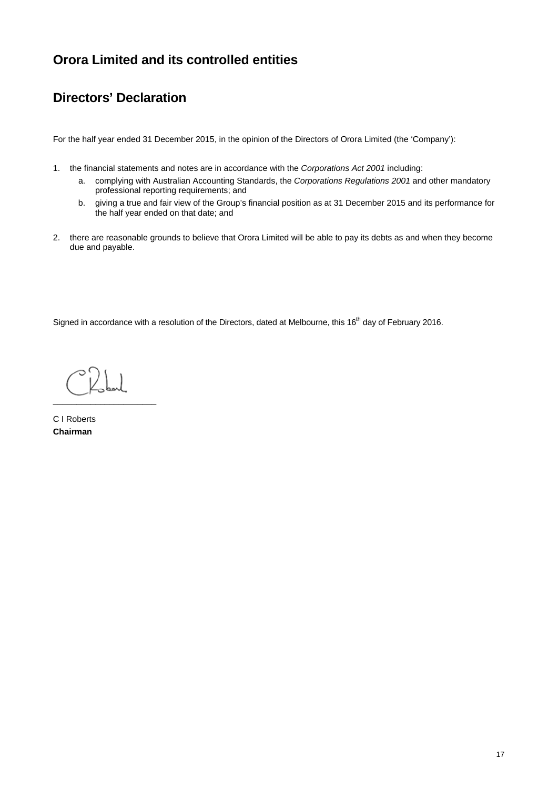# **Directors' Declaration**

For the half year ended 31 December 2015, in the opinion of the Directors of Orora Limited (the 'Company'):

- 1. the financial statements and notes are in accordance with the *Corporations Act 2001* including:
	- a. complying with Australian Accounting Standards, the *Corporations Regulations 2001* and other mandatory professional reporting requirements; and
	- b. giving a true and fair view of the Group's financial position as at 31 December 2015 and its performance for the half year ended on that date; and
- 2. there are reasonable grounds to believe that Orora Limited will be able to pay its debts as and when they become due and payable.

Signed in accordance with a resolution of the Directors, dated at Melbourne, this 16<sup>th</sup> day of February 2016.

\_\_\_\_\_\_\_\_\_\_\_\_\_\_\_\_\_\_\_\_\_\_

C I Roberts **Chairman**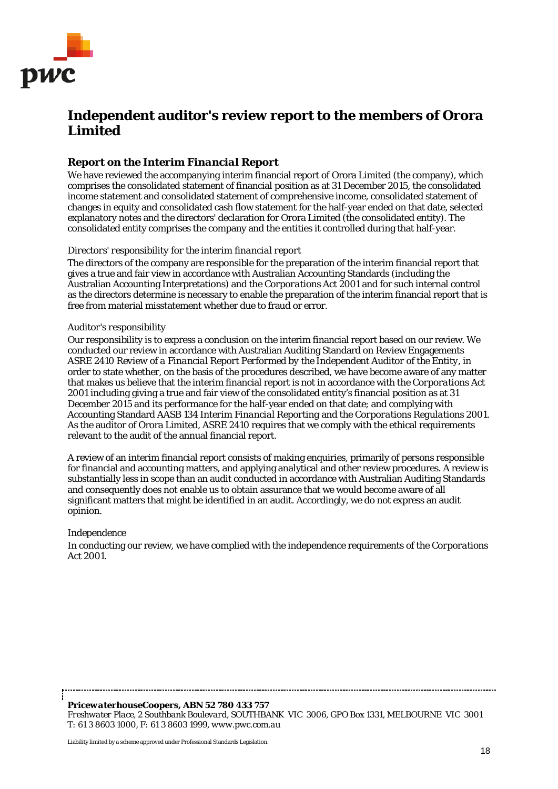

# **Independent auditor's review report to the members of Orora Limited**

### *Report on the Interim Financial Report*

We have reviewed the accompanying interim financial report of Orora Limited (the company), which comprises the consolidated statement of financial position as at 31 December 2015, the consolidated income statement and consolidated statement of comprehensive income, consolidated statement of changes in equity and consolidated cash flow statement for the half-year ended on that date, selected explanatory notes and the directors' declaration for Orora Limited (the consolidated entity). The consolidated entity comprises the company and the entities it controlled during that half-year.

#### *Directors' responsibility for the interim financial report*

The directors of the company are responsible for the preparation of the interim financial report that gives a true and fair view in accordance with Australian Accounting Standards (including the Australian Accounting Interpretations) and the *Corporations Act 2001* and for such internal control as the directors determine is necessary to enable the preparation of the interim financial report that is free from material misstatement whether due to fraud or error.

#### *Auditor's responsibility*

Our responsibility is to express a conclusion on the interim financial report based on our review. We conducted our review in accordance with Australian Auditing Standard on Review Engagements ASRE 2410 *Review of a Financial Report Performed by the Independent Auditor of the Entity*, in order to state whether, on the basis of the procedures described, we have become aware of any matter that makes us believe that the interim financial report is not in accordance with the *Corporations Act 2001* including giving a true and fair view of the consolidated entity's financial position as at 31 December 2015 and its performance for the half-year ended on that date; and complying with Accounting Standard AASB 134 *Interim Financial Reporting* and the *Corporations Regulations 2001*. As the auditor of Orora Limited, ASRE 2410 requires that we comply with the ethical requirements relevant to the audit of the annual financial report.

A review of an interim financial report consists of making enquiries, primarily of persons responsible for financial and accounting matters, and applying analytical and other review procedures. A review is substantially less in scope than an audit conducted in accordance with Australian Auditing Standards and consequently does not enable us to obtain assurance that we would become aware of all significant matters that might be identified in an audit. Accordingly, we do not express an audit opinion.

#### *Independence*

In conducting our review, we have complied with the independence requirements of the *Corporations Act 2001*.

*PricewaterhouseCoopers, ABN 52 780 433 757 Freshwater Place, 2 Southbank Boulevard, SOUTHBANK VIC 3006, GPO Box 1331, MELBOURNE VIC 3001 T: 61 3 8603 1000, F: 61 3 8603 1999, www.pwc.com.au*

 Liability limited by a scheme approved under Professional Standards Legislation.